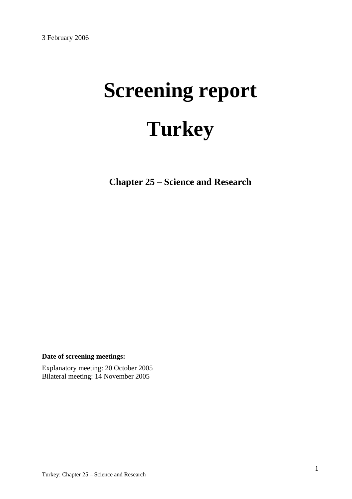# **Screening report Turkey**

**Chapter 25 – Science and Research** 

**Date of screening meetings:**

Explanatory meeting: 20 October 2005 Bilateral meeting: 14 November 2005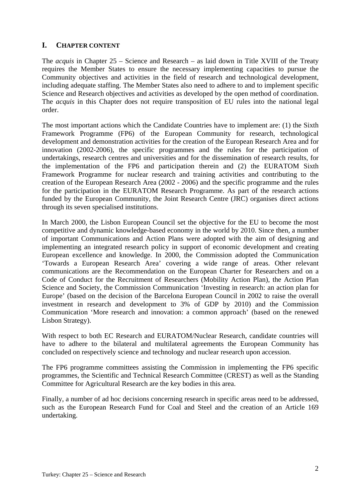## **I. CHAPTER CONTENT**

The *acquis* in Chapter 25 – Science and Research – as laid down in Title XVIII of the Treaty requires the Member States to ensure the necessary implementing capacities to pursue the Community objectives and activities in the field of research and technological development, including adequate staffing. The Member States also need to adhere to and to implement specific Science and Research objectives and activities as developed by the open method of coordination. The *acquis* in this Chapter does not require transposition of EU rules into the national legal order.

The most important actions which the Candidate Countries have to implement are: (1) the Sixth Framework Programme (FP6) of the European Community for research, technological development and demonstration activities for the creation of the European Research Area and for innovation (2002-2006), the specific programmes and the rules for the participation of undertakings, research centres and universities and for the dissemination of research results, for the implementation of the FP6 and participation therein and (2) the EURATOM Sixth Framework Programme for nuclear research and training activities and contributing to the creation of the European Research Area (2002 - 2006) and the specific programme and the rules for the participation in the EURATOM Research Programme. As part of the research actions funded by the European Community, the Joint Research Centre (JRC) organises direct actions through its seven specialised institutions.

In March 2000, the Lisbon European Council set the objective for the EU to become the most competitive and dynamic knowledge-based economy in the world by 2010. Since then, a number of important Communications and Action Plans were adopted with the aim of designing and implementing an integrated research policy in support of economic development and creating European excellence and knowledge. In 2000, the Commission adopted the Communication 'Towards a European Research Area' covering a wide range of areas. Other relevant communications are the Recommendation on the European Charter for Researchers and on a Code of Conduct for the Recruitment of Researchers (Mobility Action Plan), the Action Plan Science and Society, the Commission Communication 'Investing in research: an action plan for Europe' (based on the decision of the Barcelona European Council in 2002 to raise the overall investment in research and development to 3% of GDP by 2010) and the Commission Communication 'More research and innovation: a common approach' (based on the renewed Lisbon Strategy).

With respect to both EC Research and EURATOM/Nuclear Research, candidate countries will have to adhere to the bilateral and multilateral agreements the European Community has concluded on respectively science and technology and nuclear research upon accession.

The FP6 programme committees assisting the Commission in implementing the FP6 specific programmes, the Scientific and Technical Research Committee (CREST) as well as the Standing Committee for Agricultural Research are the key bodies in this area.

Finally, a number of ad hoc decisions concerning research in specific areas need to be addressed, such as the European Research Fund for Coal and Steel and the creation of an Article 169 undertaking.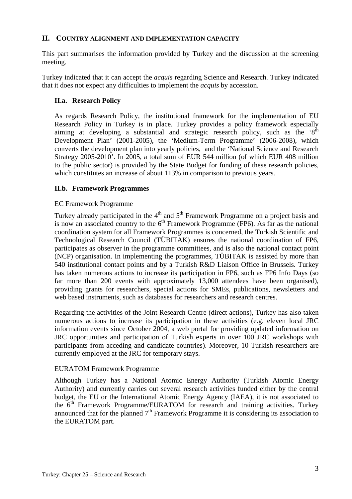## **II. COUNTRY ALIGNMENT AND IMPLEMENTATION CAPACITY**

This part summarises the information provided by Turkey and the discussion at the screening meeting.

Turkey indicated that it can accept the *acquis* regarding Science and Research. Turkey indicated that it does not expect any difficulties to implement the *acquis* by accession.

## **II.a. Research Policy**

As regards Research Policy, the institutional framework for the implementation of EU Research Policy in Turkey is in place. Turkey provides a policy framework especially aiming at developing a substantial and strategic research policy, such as the  $S<sup>th</sup>$ Development Plan' (2001-2005), the 'Medium-Term Programme' (2006-2008), which converts the development plan into yearly policies, and the 'National Science and Research Strategy 2005-2010'. In 2005, a total sum of EUR 544 million (of which EUR 408 million to the public sector) is provided by the State Budget for funding of these research policies, which constitutes an increase of about 113% in comparison to previous years.

## **II.b. Framework Programmes**

## EC Framework Programme

Turkey already participated in the  $4<sup>th</sup>$  and  $5<sup>th</sup>$  Framework Programme on a project basis and is now an associated country to the  $6<sup>th</sup>$  Framework Programme (FP6). As far as the national coordination system for all Framework Programmes is concerned, the Turkish Scientific and Technological Research Council (TÜBITAK) ensures the national coordination of FP6, participates as observer in the programme committees, and is also the national contact point (NCP) organisation. In implementing the programmes, TÜBITAK is assisted by more than 540 institutional contact points and by a Turkish R&D Liaison Office in Brussels. Turkey has taken numerous actions to increase its participation in FP6, such as FP6 Info Days (so far more than 200 events with approximately 13,000 attendees have been organised), providing grants for researchers, special actions for SMEs, publications, newsletters and web based instruments, such as databases for researchers and research centres.

Regarding the activities of the Joint Research Centre (direct actions), Turkey has also taken numerous actions to increase its participation in these activities (e.g. eleven local JRC information events since October 2004, a web portal for providing updated information on JRC opportunities and participation of Turkish experts in over 100 JRC workshops with participants from acceding and candidate countries). Moreover, 10 Turkish researchers are currently employed at the JRC for temporary stays.

## EURATOM Framework Programme

Although Turkey has a National Atomic Energy Authority (Turkish Atomic Energy Authority) and currently carries out several research activities funded either by the central budget, the EU or the International Atomic Energy Agency (IAEA), it is not associated to the  $6<sup>th</sup>$  Framework Programme/EURATOM for research and training activities. Turkey announced that for the planned  $7<sup>th</sup>$  Framework Programme it is considering its association to the EURATOM part.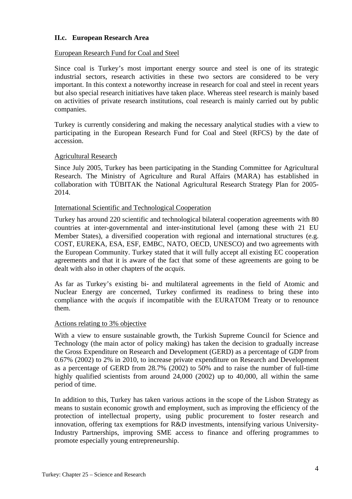## **II.c. European Research Area**

#### European Research Fund for Coal and Steel

Since coal is Turkey's most important energy source and steel is one of its strategic industrial sectors, research activities in these two sectors are considered to be very important. In this context a noteworthy increase in research for coal and steel in recent years but also special research initiatives have taken place. Whereas steel research is mainly based on activities of private research institutions, coal research is mainly carried out by public companies.

Turkey is currently considering and making the necessary analytical studies with a view to participating in the European Research Fund for Coal and Steel (RFCS) by the date of accession.

## Agricultural Research

Since July 2005, Turkey has been participating in the Standing Committee for Agricultural Research. The Ministry of Agriculture and Rural Affairs (MARA) has established in collaboration with TÜBITAK the National Agricultural Research Strategy Plan for 2005- 2014.

## International Scientific and Technological Cooperation

Turkey has around 220 scientific and technological bilateral cooperation agreements with 80 countries at inter-governmental and inter-institutional level (among these with 21 EU Member States), a diversified cooperation with regional and international structures (e.g. COST, EUREKA, ESA, ESF, EMBC, NATO, OECD, UNESCO) and two agreements with the European Community. Turkey stated that it will fully accept all existing EC cooperation agreements and that it is aware of the fact that some of these agreements are going to be dealt with also in other chapters of the *acquis*.

As far as Turkey's existing bi- and multilateral agreements in the field of Atomic and Nuclear Energy are concerned, Turkey confirmed its readiness to bring these into compliance with the *acquis* if incompatible with the EURATOM Treaty or to renounce them.

## Actions relating to 3% objective

With a view to ensure sustainable growth, the Turkish Supreme Council for Science and Technology (the main actor of policy making) has taken the decision to gradually increase the Gross Expenditure on Research and Development (GERD) as a percentage of GDP from 0.67% (2002) to 2% in 2010, to increase private expenditure on Research and Development as a percentage of GERD from 28.7% (2002) to 50% and to raise the number of full-time highly qualified scientists from around 24,000 (2002) up to 40,000, all within the same period of time.

In addition to this, Turkey has taken various actions in the scope of the Lisbon Strategy as means to sustain economic growth and employment, such as improving the efficiency of the protection of intellectual property, using public procurement to foster research and innovation, offering tax exemptions for R&D investments, intensifying various University-Industry Partnerships, improving SME access to finance and offering programmes to promote especially young entrepreneurship.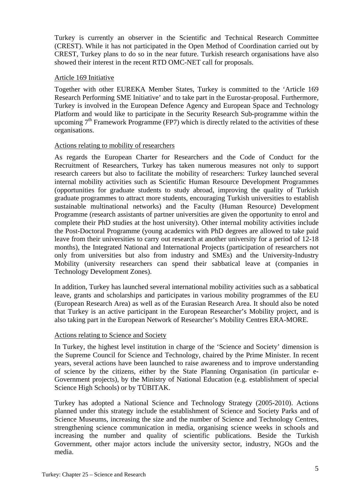Turkey is currently an observer in the Scientific and Technical Research Committee (CREST). While it has not participated in the Open Method of Coordination carried out by CREST, Turkey plans to do so in the near future. Turkish research organisations have also showed their interest in the recent RTD OMC-NET call for proposals.

## Article 169 Initiative

Together with other EUREKA Member States, Turkey is committed to the 'Article 169 Research Performing SME Initiative' and to take part in the Eurostar-proposal. Furthermore, Turkey is involved in the European Defence Agency and European Space and Technology Platform and would like to participate in the Security Research Sub-programme within the upcoming  $7<sup>th</sup>$  Framework Programme (FP7) which is directly related to the activities of these organisations.

## Actions relating to mobility of researchers

As regards the European Charter for Researchers and the Code of Conduct for the Recruitment of Researchers, Turkey has taken numerous measures not only to support research careers but also to facilitate the mobility of researchers: Turkey launched several internal mobility activities such as Scientific Human Resource Development Programmes (opportunities for graduate students to study abroad, improving the quality of Turkish graduate programmes to attract more students, encouraging Turkish universities to establish sustainable multinational networks) and the Faculty (Human Resource) Development Programme (research assistants of partner universities are given the opportunity to enrol and complete their PhD studies at the host university). Other internal mobility activities include the Post-Doctoral Programme (young academics with PhD degrees are allowed to take paid leave from their universities to carry out research at another university for a period of 12-18 months), the Integrated National and International Projects (participation of researchers not only from universities but also from industry and SMEs) and the University-Industry Mobility (university researchers can spend their sabbatical leave at (companies in Technology Development Zones).

In addition, Turkey has launched several international mobility activities such as a sabbatical leave, grants and scholarships and participates in various mobility programmes of the EU (European Research Area) as well as of the Eurasian Research Area. It should also be noted that Turkey is an active participant in the European Researcher's Mobility project, and is also taking part in the European Network of Researcher's Mobility Centres ERA-MORE.

## Actions relating to Science and Society

In Turkey, the highest level institution in charge of the 'Science and Society' dimension is the Supreme Council for Science and Technology, chaired by the Prime Minister. In recent years, several actions have been launched to raise awareness and to improve understanding of science by the citizens, either by the State Planning Organisation (in particular e-Government projects), by the Ministry of National Education (e.g. establishment of special Science High Schools) or by TÜBITAK.

Turkey has adopted a National Science and Technology Strategy (2005-2010). Actions planned under this strategy include the establishment of Science and Society Parks and of Science Museums, increasing the size and the number of Science and Technology Centres, strengthening science communication in media, organising science weeks in schools and increasing the number and quality of scientific publications. Beside the Turkish Government, other major actors include the university sector, industry, NGOs and the media.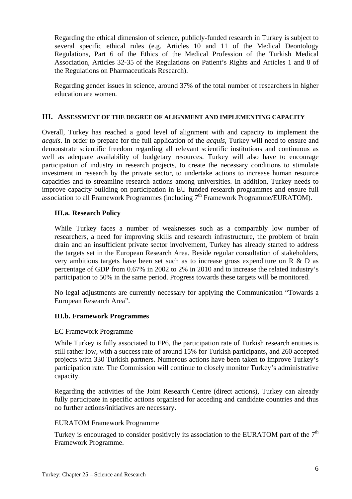Regarding the ethical dimension of science, publicly-funded research in Turkey is subject to several specific ethical rules (e.g. Articles 10 and 11 of the Medical Deontology Regulations, Part 6 of the Ethics of the Medical Profession of the Turkish Medical Association, Articles 32-35 of the Regulations on Patient's Rights and Articles 1 and 8 of the Regulations on Pharmaceuticals Research).

Regarding gender issues in science, around 37% of the total number of researchers in higher education are women.

## **III. ASSESSMENT OF THE DEGREE OF ALIGNMENT AND IMPLEMENTING CAPACITY**

Overall, Turkey has reached a good level of alignment with and capacity to implement the *acquis*. In order to prepare for the full application of the *acquis*, Turkey will need to ensure and demonstrate scientific freedom regarding all relevant scientific institutions and continuous as well as adequate availability of budgetary resources. Turkey will also have to encourage participation of industry in research projects, to create the necessary conditions to stimulate investment in research by the private sector, to undertake actions to increase human resource capacities and to streamline research actions among universities. In addition, Turkey needs to improve capacity building on participation in EU funded research programmes and ensure full association to all Framework Programmes (including  $7<sup>th</sup>$  Framework Programme/EURATOM).

## **III.a. Research Policy**

While Turkey faces a number of weaknesses such as a comparably low number of researchers, a need for improving skills and research infrastructure, the problem of brain drain and an insufficient private sector involvement, Turkey has already started to address the targets set in the European Research Area. Beside regular consultation of stakeholders, very ambitious targets have been set such as to increase gross expenditure on R & D as percentage of GDP from 0.67% in 2002 to 2% in 2010 and to increase the related industry's participation to 50% in the same period. Progress towards these targets will be monitored.

No legal adjustments are currently necessary for applying the Communication "Towards a European Research Area".

## **III.b. Framework Programmes**

## EC Framework Programme

While Turkey is fully associated to FP6, the participation rate of Turkish research entities is still rather low, with a success rate of around 15% for Turkish participants, and 260 accepted projects with 330 Turkish partners. Numerous actions have been taken to improve Turkey's participation rate. The Commission will continue to closely monitor Turkey's administrative capacity.

Regarding the activities of the Joint Research Centre (direct actions), Turkey can already fully participate in specific actions organised for acceding and candidate countries and thus no further actions/initiatives are necessary.

## EURATOM Framework Programme

Turkey is encouraged to consider positively its association to the EURATOM part of the  $7<sup>th</sup>$ Framework Programme.